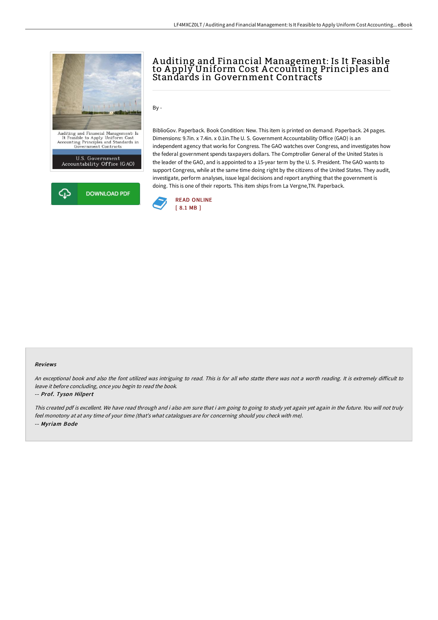

# A uditing and Financial Management: Is It Feasible to A pply Uniform Cost A ccounting Principles and Standards in Government Contracts

 $By -$ 

BiblioGov. Paperback. Book Condition: New. This item is printed on demand. Paperback. 24 pages. Dimensions: 9.7in. x 7.4in. x 0.1in.The U. S. Government Accountability Office (GAO) is an independent agency that works for Congress. The GAO watches over Congress, and investigates how the federal government spends taxpayers dollars. The Comptroller General of the United States is the leader of the GAO, and is appointed to a 15-year term by the U. S. President. The GAO wants to support Congress, while at the same time doing right by the citizens of the United States. They audit, investigate, perform analyses, issue legal decisions and report anything that the government is doing. This is one of their reports. This item ships from La Vergne,TN. Paperback.



#### Reviews

An exceptional book and also the font utilized was intriguing to read. This is for all who statte there was not a worth reading. It is extremely difficult to leave it before concluding, once you begin to read the book.

#### -- Prof. Tyson Hilpert

This created pdf is excellent. We have read through and i also am sure that i am going to going to study yet again yet again in the future. You will not truly feel monotony at at any time of your time (that's what catalogues are for concerning should you check with me). -- Myriam Bode